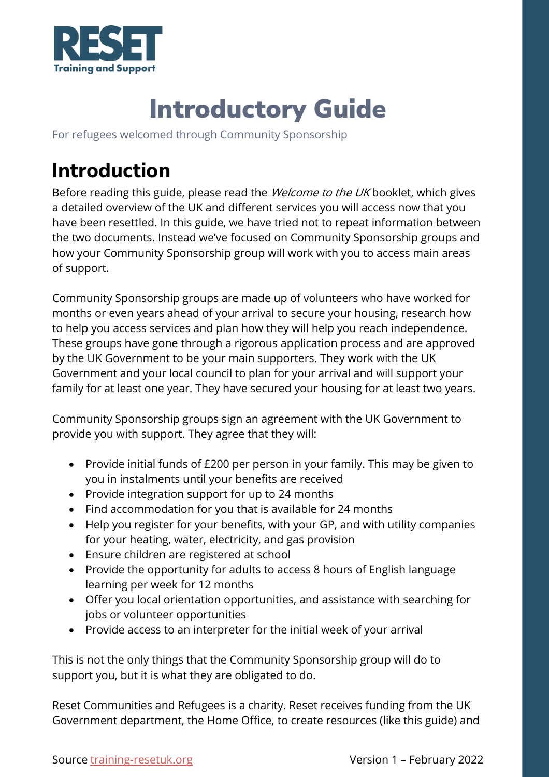

# Introductory Guide

For refugees welcomed through Community Sponsorship

# **Introduction**

Before reading this guide, please read the *Welcome to the UK* booklet, which gives a detailed overview of the UK and different services you will access now that you have been resettled. In this guide, we have tried not to repeat information between the two documents. Instead we've focused on Community Sponsorship groups and how your Community Sponsorship group will work with you to access main areas of support.

Community Sponsorship groups are made up of volunteers who have worked for months or even years ahead of your arrival to secure your housing, research how to help you access services and plan how they will help you reach independence. These groups have gone through a rigorous application process and are approved by the UK Government to be your main supporters. They work with the UK Government and your local council to plan for your arrival and will support your family for at least one year. They have secured your housing for at least two years.

Community Sponsorship groups sign an agreement with the UK Government to provide you with support. They agree that they will:

- Provide initial funds of £200 per person in your family. This may be given to you in instalments until your benefits are received
- Provide integration support for up to 24 months
- Find accommodation for you that is available for 24 months
- Help you register for your benefits, with your GP, and with utility companies for your heating, water, electricity, and gas provision
- Ensure children are registered at school
- Provide the opportunity for adults to access 8 hours of English language learning per week for 12 months
- Offer you local orientation opportunities, and assistance with searching for jobs or volunteer opportunities
- Provide access to an interpreter for the initial week of your arrival

This is not the only things that the Community Sponsorship group will do to support you, but it is what they are obligated to do.

Reset Communities and Refugees is a charity. Reset receives funding from the UK Government department, the Home Office, to create resources (like this guide) and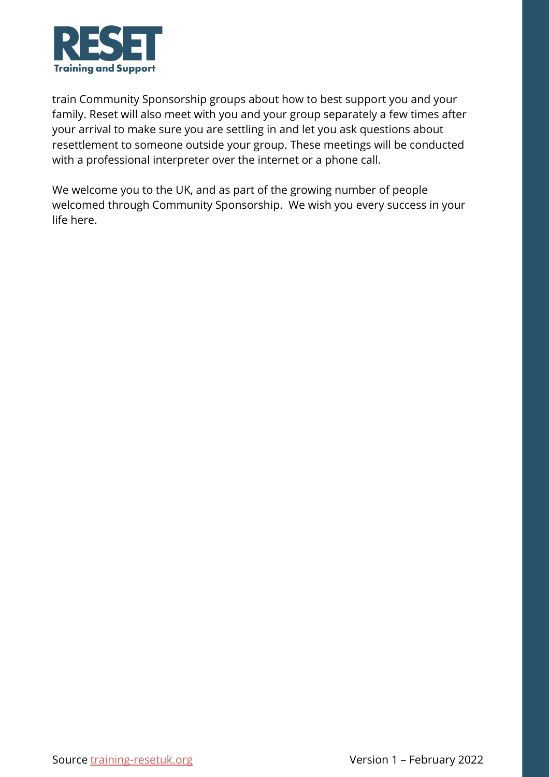

train Community Sponsorship groups about how to best support you and your family. Reset will also meet with you and your group separately a few times after your arrival to make sure you are settling in and let you ask questions about resettlement to someone outside your group. These meetings will be conducted with a professional interpreter over the internet or a phone call.

We welcome you to the UK, and as part of the growing number of people welcomed through Community Sponsorship. We wish you every success in your life here.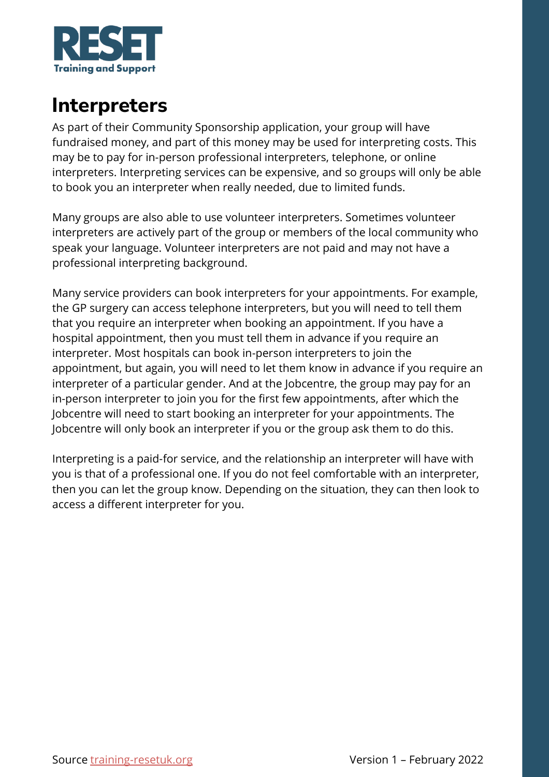

#### **Interpreters**

As part of their Community Sponsorship application, your group will have fundraised money, and part of this money may be used for interpreting costs. This may be to pay for in-person professional interpreters, telephone, or online interpreters. Interpreting services can be expensive, and so groups will only be able to book you an interpreter when really needed, due to limited funds.

Many groups are also able to use volunteer interpreters. Sometimes volunteer interpreters are actively part of the group or members of the local community who speak your language. Volunteer interpreters are not paid and may not have a professional interpreting background.

Many service providers can book interpreters for your appointments. For example, the GP surgery can access telephone interpreters, but you will need to tell them that you require an interpreter when booking an appointment. If you have a hospital appointment, then you must tell them in advance if you require an interpreter. Most hospitals can book in-person interpreters to join the appointment, but again, you will need to let them know in advance if you require an interpreter of a particular gender. And at the Jobcentre, the group may pay for an in-person interpreter to join you for the first few appointments, after which the Jobcentre will need to start booking an interpreter for your appointments. The Jobcentre will only book an interpreter if you or the group ask them to do this.

Interpreting is a paid-for service, and the relationship an interpreter will have with you is that of a professional one. If you do not feel comfortable with an interpreter, then you can let the group know. Depending on the situation, they can then look to access a different interpreter for you.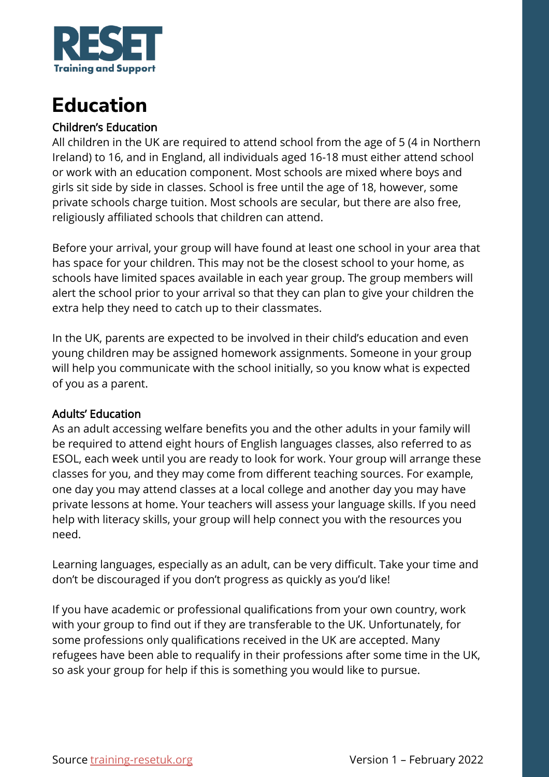

### **Education**

#### Children's Education

All children in the UK are required to attend school from the age of 5 (4 in Northern Ireland) to 16, and in England, all individuals aged 16-18 must either attend school or work with an education component. Most schools are mixed where boys and girls sit side by side in classes. School is free until the age of 18, however, some private schools charge tuition. Most schools are secular, but there are also free, religiously affiliated schools that children can attend.

Before your arrival, your group will have found at least one school in your area that has space for your children. This may not be the closest school to your home, as schools have limited spaces available in each year group. The group members will alert the school prior to your arrival so that they can plan to give your children the extra help they need to catch up to their classmates.

In the UK, parents are expected to be involved in their child's education and even young children may be assigned homework assignments. Someone in your group will help you communicate with the school initially, so you know what is expected of you as a parent.

#### Adults' Education

As an adult accessing welfare benefits you and the other adults in your family will be required to attend eight hours of English languages classes, also referred to as ESOL, each week until you are ready to look for work. Your group will arrange these classes for you, and they may come from different teaching sources. For example, one day you may attend classes at a local college and another day you may have private lessons at home. Your teachers will assess your language skills. If you need help with literacy skills, your group will help connect you with the resources you need.

Learning languages, especially as an adult, can be very difficult. Take your time and don't be discouraged if you don't progress as quickly as you'd like!

If you have academic or professional qualifications from your own country, work with your group to find out if they are transferable to the UK. Unfortunately, for some professions only qualifications received in the UK are accepted. Many refugees have been able to requalify in their professions after some time in the UK, so ask your group for help if this is something you would like to pursue.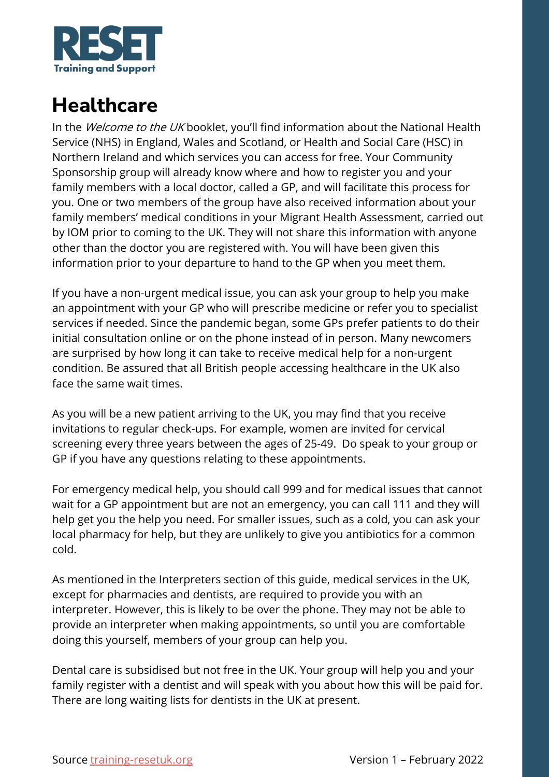

#### **Healthcare**

In the Welcome to the UK booklet, you'll find information about the National Health Service (NHS) in England, Wales and Scotland, or Health and Social Care (HSC) in Northern Ireland and which services you can access for free. Your Community Sponsorship group will already know where and how to register you and your family members with a local doctor, called a GP, and will facilitate this process for you. One or two members of the group have also received information about your family members' medical conditions in your Migrant Health Assessment, carried out by IOM prior to coming to the UK. They will not share this information with anyone other than the doctor you are registered with. You will have been given this information prior to your departure to hand to the GP when you meet them.

If you have a non-urgent medical issue, you can ask your group to help you make an appointment with your GP who will prescribe medicine or refer you to specialist services if needed. Since the pandemic began, some GPs prefer patients to do their initial consultation online or on the phone instead of in person. Many newcomers are surprised by how long it can take to receive medical help for a non-urgent condition. Be assured that all British people accessing healthcare in the UK also face the same wait times.

As you will be a new patient arriving to the UK, you may find that you receive invitations to regular check-ups. For example, women are invited for cervical screening every three years between the ages of 25-49. Do speak to your group or GP if you have any questions relating to these appointments.

For emergency medical help, you should call 999 and for medical issues that cannot wait for a GP appointment but are not an emergency, you can call 111 and they will help get you the help you need. For smaller issues, such as a cold, you can ask your local pharmacy for help, but they are unlikely to give you antibiotics for a common cold.

As mentioned in the Interpreters section of this guide, medical services in the UK, except for pharmacies and dentists, are required to provide you with an interpreter. However, this is likely to be over the phone. They may not be able to provide an interpreter when making appointments, so until you are comfortable doing this yourself, members of your group can help you.

Dental care is subsidised but not free in the UK. Your group will help you and your family register with a dentist and will speak with you about how this will be paid for. There are long waiting lists for dentists in the UK at present.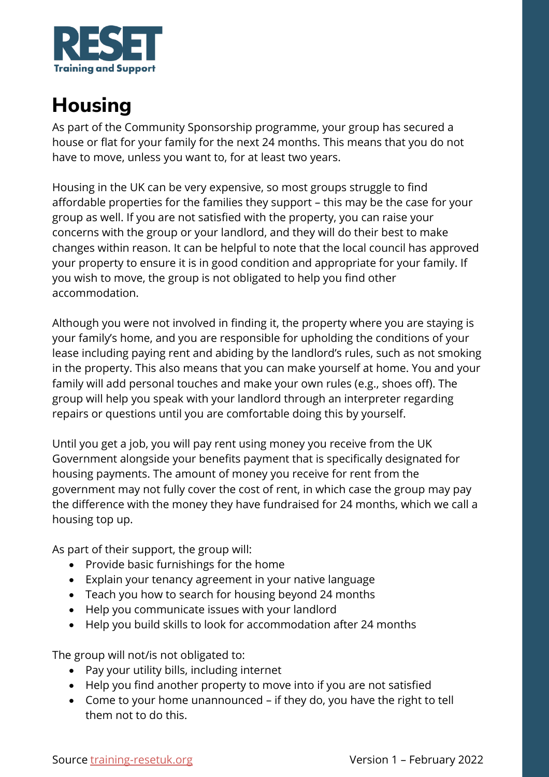

#### **Housing**

As part of the Community Sponsorship programme, your group has secured a house or flat for your family for the next 24 months. This means that you do not have to move, unless you want to, for at least two years.

Housing in the UK can be very expensive, so most groups struggle to find affordable properties for the families they support – this may be the case for your group as well. If you are not satisfied with the property, you can raise your concerns with the group or your landlord, and they will do their best to make changes within reason. It can be helpful to note that the local council has approved your property to ensure it is in good condition and appropriate for your family. If you wish to move, the group is not obligated to help you find other accommodation.

Although you were not involved in finding it, the property where you are staying is your family's home, and you are responsible for upholding the conditions of your lease including paying rent and abiding by the landlord's rules, such as not smoking in the property. This also means that you can make yourself at home. You and your family will add personal touches and make your own rules (e.g., shoes off). The group will help you speak with your landlord through an interpreter regarding repairs or questions until you are comfortable doing this by yourself.

Until you get a job, you will pay rent using money you receive from the UK Government alongside your benefits payment that is specifically designated for housing payments. The amount of money you receive for rent from the government may not fully cover the cost of rent, in which case the group may pay the difference with the money they have fundraised for 24 months, which we call a housing top up.

As part of their support, the group will:

- Provide basic furnishings for the home
- Explain your tenancy agreement in your native language
- Teach you how to search for housing beyond 24 months
- Help you communicate issues with your landlord
- Help you build skills to look for accommodation after 24 months

The group will not/is not obligated to:

- Pay your utility bills, including internet
- Help you find another property to move into if you are not satisfied
- Come to your home unannounced if they do, you have the right to tell them not to do this.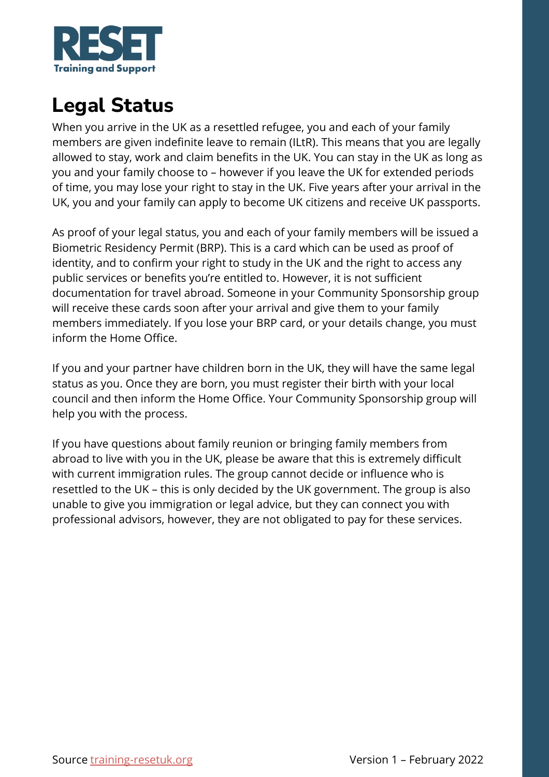

# **Legal Status**

When you arrive in the UK as a resettled refugee, you and each of your family members are given indefinite leave to remain (ILtR). This means that you are legally allowed to stay, work and claim benefits in the UK. You can stay in the UK as long as you and your family choose to – however if you leave the UK for extended periods of time, you may lose your right to stay in the UK. Five years after your arrival in the UK, you and your family can apply to become UK citizens and receive UK passports.

As proof of your legal status, you and each of your family members will be issued a Biometric Residency Permit (BRP). This is a card which can be used as proof of identity, and to confirm your right to study in the UK and the right to access any public services or benefits you're entitled to. However, it is not sufficient documentation for travel abroad. Someone in your Community Sponsorship group will receive these cards soon after your arrival and give them to your family members immediately. If you lose your BRP card, or your details change, you must inform the Home Office.

If you and your partner have children born in the UK, they will have the same legal status as you. Once they are born, you must register their birth with your local council and then inform the Home Office. Your Community Sponsorship group will help you with the process.

If you have questions about family reunion or bringing family members from abroad to live with you in the UK, please be aware that this is extremely difficult with current immigration rules. The group cannot decide or influence who is resettled to the UK – this is only decided by the UK government. The group is also unable to give you immigration or legal advice, but they can connect you with professional advisors, however, they are not obligated to pay for these services.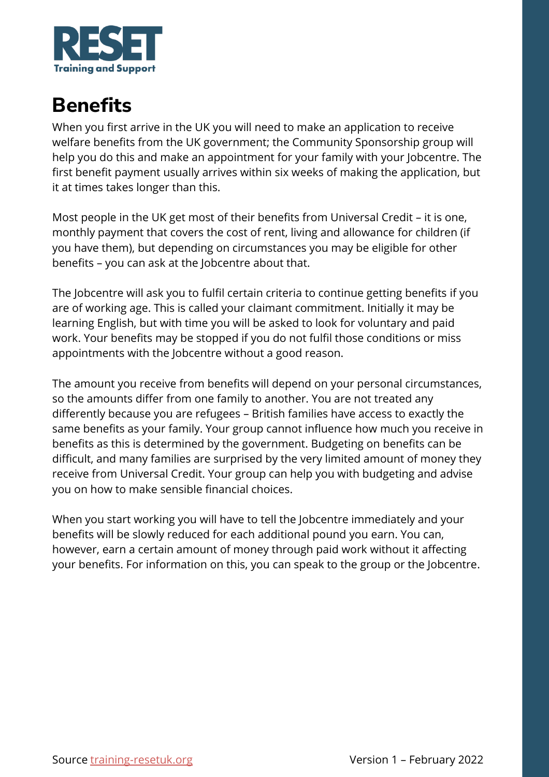

#### **Benefits**

When you first arrive in the UK you will need to make an application to receive welfare benefits from the UK government; the Community Sponsorship group will help you do this and make an appointment for your family with your Jobcentre. The first benefit payment usually arrives within six weeks of making the application, but it at times takes longer than this.

Most people in the UK get most of their benefits from Universal Credit – it is one, monthly payment that covers the cost of rent, living and allowance for children (if you have them), but depending on circumstances you may be eligible for other benefits – you can ask at the Jobcentre about that.

The Jobcentre will ask you to fulfil certain criteria to continue getting benefits if you are of working age. This is called your claimant commitment. Initially it may be learning English, but with time you will be asked to look for voluntary and paid work. Your benefits may be stopped if you do not fulfil those conditions or miss appointments with the Jobcentre without a good reason.

The amount you receive from benefits will depend on your personal circumstances, so the amounts differ from one family to another. You are not treated any differently because you are refugees – British families have access to exactly the same benefits as your family. Your group cannot influence how much you receive in benefits as this is determined by the government. Budgeting on benefits can be difficult, and many families are surprised by the very limited amount of money they receive from Universal Credit. Your group can help you with budgeting and advise you on how to make sensible financial choices.

When you start working you will have to tell the Jobcentre immediately and your benefits will be slowly reduced for each additional pound you earn. You can, however, earn a certain amount of money through paid work without it affecting your benefits. For information on this, you can speak to the group or the Jobcentre.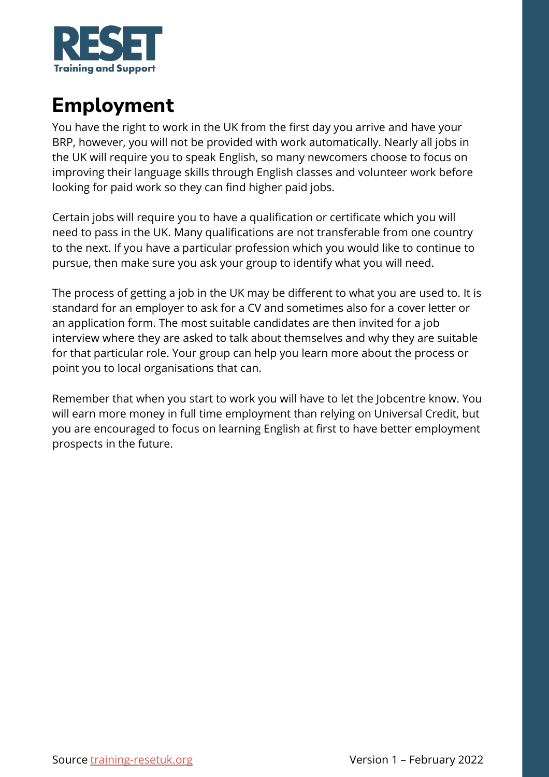

### **Employment**

You have the right to work in the UK from the first day you arrive and have your BRP, however, you will not be provided with work automatically. Nearly all jobs in the UK will require you to speak English, so many newcomers choose to focus on improving their language skills through English classes and volunteer work before looking for paid work so they can find higher paid jobs.

Certain jobs will require you to have a qualification or certificate which you will need to pass in the UK. Many qualifications are not transferable from one country to the next. If you have a particular profession which you would like to continue to pursue, then make sure you ask your group to identify what you will need.

The process of getting a job in the UK may be different to what you are used to. It is standard for an employer to ask for a CV and sometimes also for a cover letter or an application form. The most suitable candidates are then invited for a job interview where they are asked to talk about themselves and why they are suitable for that particular role. Your group can help you learn more about the process or point you to local organisations that can.

Remember that when you start to work you will have to let the Jobcentre know. You will earn more money in full time employment than relying on Universal Credit, but you are encouraged to focus on learning English at first to have better employment prospects in the future.